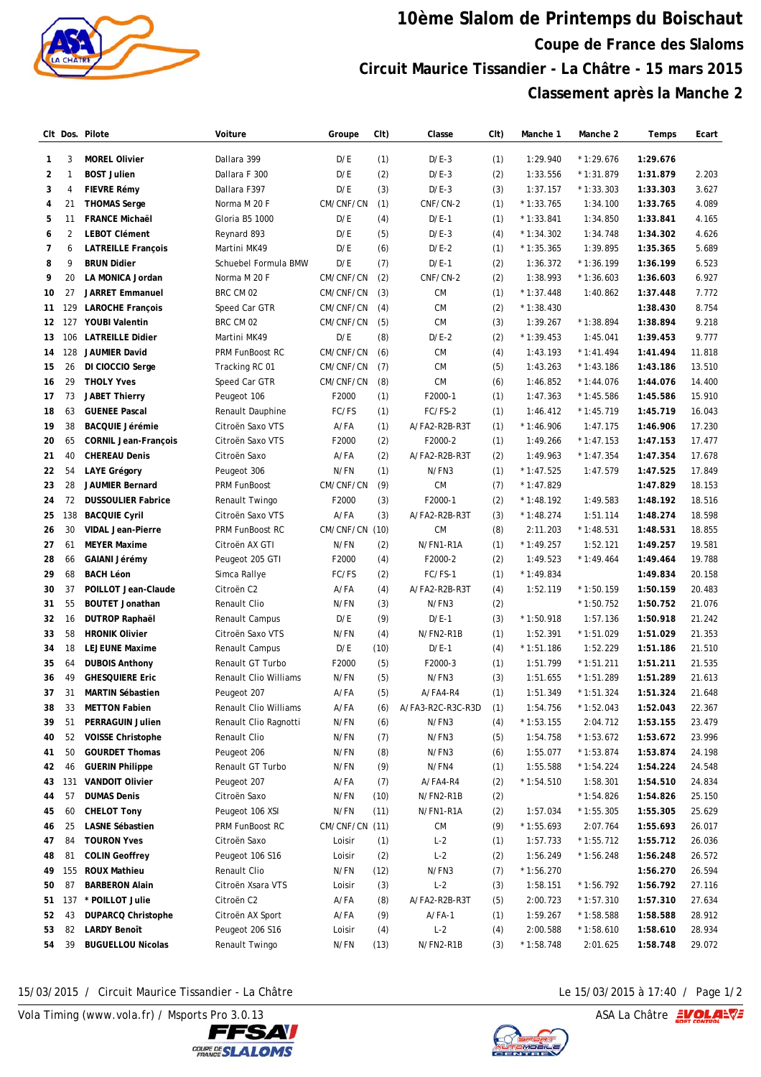

## **10ème Slalom de Printemps du Boischaut Coupe de France des Slaloms Circuit Maurice Tissandier - La Châtre - 15 mars 2015 Classement après la Manche 2**

|    |                | CIt Dos. Pilote                              | Voiture                         | Groupe         | CIt) | Classe            | CIt)       | Manche 1    | Manche 2    | Temps    | Ecart  |
|----|----------------|----------------------------------------------|---------------------------------|----------------|------|-------------------|------------|-------------|-------------|----------|--------|
| 1  | 3              | <b>MOREL Olivier</b>                         | Dallara 399                     | D/E            | (1)  | $D/E-3$           | (1)        | 1:29.940    | $*1:29.676$ | 1:29.676 |        |
| 2  | 1              | <b>BOST Julien</b>                           | Dallara F 300                   | D/E            | (2)  | $D/E-3$           | (2)        | 1:33.556    | $*1:31.879$ | 1:31.879 | 2.203  |
| 3  | 4              | <b>FIEVRE Rémy</b>                           | Dallara F397                    | D/E            | (3)  | $D/E-3$           | (3)        | 1:37.157    | $*1:33.303$ | 1:33.303 | 3.627  |
| 4  | 21             | <b>THOMAS Serge</b>                          | Norma M 20 F                    | CM/CNF/CN      | (1)  | CNF/CN-2          | (1)        | $*1:33.765$ | 1:34.100    | 1:33.765 | 4.089  |
| 5  | 11             | <b>FRANCE Michaël</b>                        | Gloria B5 1000                  | D/E            | (4)  | $D/E-1$           | (1)        | $*1:33.841$ | 1:34.850    | 1:33.841 | 4.165  |
| 6  | $\overline{2}$ | <b>LEBOT Clément</b>                         | Reynard 893                     | D/E            | (5)  | $D/E-3$           | (4)        | $*1:34.302$ | 1:34.748    | 1:34.302 | 4.626  |
| 7  | 6              | <b>LATREILLE François</b>                    | Martini MK49                    | D/E            | (6)  | $D/E-2$           | (1)        | $*1:35.365$ | 1:39.895    | 1:35.365 | 5.689  |
| 8  | 9              | <b>BRUN Didier</b>                           | Schuebel Formula BMW            | D/E            | (7)  | $D/E-1$           | (2)        | 1:36.372    | $*1:36.199$ | 1:36.199 | 6.523  |
| 9  | 20             | LA MONICA Jordan                             | Norma M 20 F                    | CM/CNF/CN      | (2)  | CNF/CN-2          | (2)        | 1:38.993    | $*1:36.603$ | 1:36.603 | 6.927  |
| 10 | 27             | <b>JARRET Emmanuel</b>                       | BRC CM 02                       | CM/CNF/CN      | (3)  | <b>CM</b>         | (1)        | $*1:37.448$ | 1:40.862    | 1:37.448 | 7.772  |
| 11 | 129            | <b>LAROCHE François</b>                      | Speed Car GTR                   | CM/CNF/CN      | (4)  | <b>CM</b>         | (2)        | $*1:38.430$ |             | 1:38.430 | 8.754  |
|    | 12 127         | <b>YOUBI Valentin</b>                        | BRC CM 02                       | CM/CNF/CN      | (5)  | <b>CM</b>         | (3)        | 1:39.267    | $*1:38.894$ | 1:38.894 | 9.218  |
| 13 | 106            | <b>LATREILLE Didier</b>                      | Martini MK49                    | D/E            | (8)  | $D/E-2$           | (2)        | $*1:39.453$ | 1:45.041    | 1:39.453 | 9.777  |
| 14 | 128            | <b>JAUMIER David</b>                         | PRM FunBoost RC                 | CM/CNF/CN      | (6)  | <b>CM</b>         | (4)        | 1:43.193    | $*1:41.494$ | 1:41.494 | 11.818 |
| 15 | 26             | DI CIOCCIO Serge                             | Tracking RC 01                  | CM/CNF/CN      | (7)  | <b>CM</b>         | (5)        | 1:43.263    | $*1:43.186$ | 1:43.186 | 13.510 |
| 16 | 29             | <b>THOLY Yves</b>                            | Speed Car GTR                   | CM/CNF/CN      | (8)  | <b>CM</b>         | (6)        | 1:46.852    | $*1:44.076$ | 1:44.076 | 14.400 |
| 17 | 73             | <b>JABET Thierry</b>                         | Peugeot 106                     | F2000          | (1)  | F2000-1           | (1)        | 1:47.363    | $*1:45.586$ | 1:45.586 | 15.910 |
| 18 | 63             | <b>GUENEE Pascal</b>                         | Renault Dauphine                | FC/FS          | (1)  | FC/FS-2           | (1)        | 1:46.412    | $*1:45.719$ | 1:45.719 | 16.043 |
| 19 | 38             | <b>BACQUIE Jérémie</b>                       | Citroën Saxo VTS                | A/FA           | (1)  | A/FA2-R2B-R3T     | (1)        | $*1:46.906$ | 1:47.175    | 1:46.906 | 17.230 |
| 20 | 65             | <b>CORNIL Jean-François</b>                  | Citroën Saxo VTS                | F2000          | (2)  | F2000-2           | (1)        | 1:49.266    | $*1:47.153$ | 1:47.153 | 17.477 |
| 21 | 40             | <b>CHEREAU Denis</b>                         | Citroën Saxo                    | A/FA           | (2)  | A/FA2-R2B-R3T     | (2)        | 1:49.963    | $*1:47.354$ | 1:47.354 | 17.678 |
| 22 | 54             | <b>LAYE Grégory</b>                          | Peugeot 306                     | N/FN           | (1)  | N/FN3             | (1)        | $*1:47.525$ | 1:47.579    | 1:47.525 | 17.849 |
| 23 | 28             | <b>JAUMIER Bernard</b>                       | PRM FunBoost                    | CM/CNF/CN      | (9)  | <b>CM</b>         | (7)        | $*1:47.829$ |             | 1:47.829 | 18.153 |
| 24 | 72             | <b>DUSSOULIER Fabrice</b>                    | Renault Twingo                  | F2000          | (3)  | F2000-1           | (2)        | $*1:48.192$ | 1:49.583    | 1:48.192 | 18.516 |
| 25 | 138            | <b>BACQUIE Cyril</b>                         | Citroën Saxo VTS                | A/FA           | (3)  | A/FA2-R2B-R3T     | (3)        | $*1:48.274$ | 1:51.114    | 1:48.274 | 18.598 |
| 26 | 30             | <b>VIDAL Jean-Pierre</b>                     | PRM FunBoost RC                 | CM/CNF/CN      | (10) | <b>CM</b>         | (8)        | 2:11.203    | $*1:48.531$ | 1:48.531 | 18.855 |
| 27 | 61             | <b>MEYER Maxime</b>                          | Citroën AX GTI                  | N/FN           | (2)  | N/FN1-R1A         | (1)        | $*1:49.257$ | 1:52.121    | 1:49.257 | 19.581 |
| 28 | 66             | GAIANI Jérémy                                | Peugeot 205 GTI                 | F2000          | (4)  | F2000-2           | (2)        | 1:49.523    | $*1:49.464$ | 1:49.464 | 19.788 |
| 29 | 68             | <b>BACH Léon</b>                             | Simca Rallye                    | FC/FS          | (2)  | FC/FS-1           | (1)        | $*1:49.834$ |             | 1:49.834 | 20.158 |
| 30 | 37             | POILLOT Jean-Claude                          | Citroën C2                      | A/FA           | (4)  | A/FA2-R2B-R3T     | (4)        | 1:52.119    | $*1:50.159$ | 1:50.159 | 20.483 |
| 31 | 55             | <b>BOUTET Jonathan</b>                       | Renault Clio                    | N/FN           | (3)  | N/FN3             | (2)        |             | $*1:50.752$ | 1:50.752 | 21.076 |
| 32 | 16             | <b>DUTROP Raphaël</b>                        | Renault Campus                  | D/E            | (9)  | $D/E-1$           | (3)        | $*1:50.918$ | 1:57.136    | 1:50.918 | 21.242 |
| 33 | 58             | <b>HRONIK Olivier</b>                        | Citroën Saxo VTS                | N/FN           | (4)  | N/FN2-R1B         | (1)        | 1:52.391    | $*1:51.029$ | 1:51.029 | 21.353 |
| 34 | 18             | <b>LEJEUNE Maxime</b>                        | Renault Campus                  | D/E            | (10) | $D/E-1$           | (4)        | $*1:51.186$ | 1:52.229    | 1:51.186 | 21.510 |
| 35 | 64             | <b>DUBOIS Anthony</b>                        | Renault GT Turbo                | F2000          | (5)  | F2000-3           | (1)        | 1:51.799    | $*1:51.211$ | 1:51.211 | 21.535 |
| 36 | 49             | <b>GHESQUIERE Eric</b>                       | <b>Renault Clio Williams</b>    | N/FN           | (5)  | N/FN3             | (3)        | 1:51.655    | $*1:51.289$ | 1:51.289 | 21.613 |
| 37 | 31             | <b>MARTIN Sébastien</b>                      | Peugeot 207                     | A/FA           | (5)  | A/FA4-R4          | (1)        | 1:51.349    | $*1:51.324$ | 1:51.324 | 21.648 |
| 38 | 33             | <b>METTON Fabien</b>                         | Renault Clio Williams           | A/FA           | (6)  | A/FA3-R2C-R3C-R3D | (1)        | 1:54.756    | $*1:52.043$ | 1:52.043 | 22.367 |
| 39 | 51             | PERRAGUIN Julien                             | Renault Clio Ragnotti           | N/FN           | (6)  | N/FN3             | (4)        | $*1:53.155$ | 2:04.712    | 1:53.155 | 23.479 |
| 40 | 52             | <b>VOISSE Christophe</b>                     | Renault Clio                    | N/FN           | (7)  | N/FN3             | (5)        | 1:54.758    | $*1:53.672$ | 1:53.672 | 23.996 |
| 41 | 50             | <b>GOURDET Thomas</b>                        | Peugeot 206                     | N/FN           | (8)  | N/FN3             | (6)        | 1:55.077    | $*1:53.874$ | 1:53.874 | 24.198 |
| 42 | 46             | <b>GUERIN Philippe</b>                       | Renault GT Turbo                | N/FN           | (9)  | N/FN4             | (1)        | 1:55.588    | $*1:54.224$ | 1:54.224 | 24.548 |
| 43 | 131            | <b>VANDOIT Olivier</b>                       | Peugeot 207                     | A/FA           | (7)  | A/FA4-R4          | (2)        | $*1:54.510$ | 1:58.301    | 1:54.510 | 24.834 |
| 44 | 57             | <b>DUMAS Denis</b>                           | Citroën Saxo                    | N/FN           | (10) | N/FN2-R1B         |            |             | $*1:54.826$ | 1:54.826 | 25.150 |
| 45 | 60             | <b>CHELOT Tony</b>                           | Peugeot 106 XSI                 | N/FN           | (11) | N/FN1-R1A         | (2)<br>(2) | 1:57.034    | $*1:55.305$ | 1:55.305 | 25.629 |
|    | 25             | LASNE Sébastien                              | PRM FunBoost RC                 | CM/CNF/CN (11) |      | CM                |            |             | 2:07.764    |          |        |
| 46 | 84             | <b>TOURON Yves</b>                           |                                 |                |      | $L-2$             | (9)        | $*1:55.693$ | $*1:55.712$ | 1:55.693 | 26.017 |
| 47 |                |                                              | Citroën Saxo                    | Loisir         | (1)  |                   | (1)        | 1:57.733    |             | 1:55.712 | 26.036 |
| 48 | 81<br>155      | <b>COLIN Geoffrey</b><br><b>ROUX Mathieu</b> | Peugeot 106 S16<br>Renault Clio | Loisir<br>N/FN | (2)  | $L-2$<br>N/FN3    | (2)        | 1:56.249    | $*1:56.248$ | 1:56.248 | 26.572 |
| 49 |                |                                              |                                 |                | (12) |                   | (7)        | $*1:56.270$ |             | 1:56.270 | 26.594 |
| 50 | 87             | <b>BARBERON Alain</b>                        | Citroën Xsara VTS               | Loisir         | (3)  | $L-2$             | (3)        | 1:58.151    | $*1:56.792$ | 1:56.792 | 27.116 |
| 51 | 137            | * POILLOT Julie                              | Citroën C2                      | A/FA           | (8)  | A/FA2-R2B-R3T     | (5)        | 2:00.723    | $*1:57.310$ | 1:57.310 | 27.634 |
| 52 | 43             | <b>DUPARCQ Christophe</b>                    | Citroën AX Sport                | A/FA           | (9)  | $A/FA-1$          | (1)        | 1:59.267    | $*1:58.588$ | 1:58.588 | 28.912 |
| 53 | 82             | <b>LARDY Benoît</b>                          | Peugeot 206 S16                 | Loisir         | (4)  | $L-2$             | (4)        | 2:00.588    | $*1:58.610$ | 1:58.610 | 28.934 |
| 54 | 39             | <b>BUGUELLOU Nicolas</b>                     | Renault Twingo                  | N/FN           | (13) | N/FN2-R1B         | (3)        | $*1:58.748$ | 2:01.625    | 1:58.748 | 29.072 |

15/03/2015 / Circuit Maurice Tissandier - La Châtre Le 15/03/2015 à 17:40 / Page 1/2

Vola Timing (www.vola.fr) / Msports Pro 3.0.13  $\sqrt{2}$  Vola Timing (www.vola.fr) / Msports Pro 3.0.13